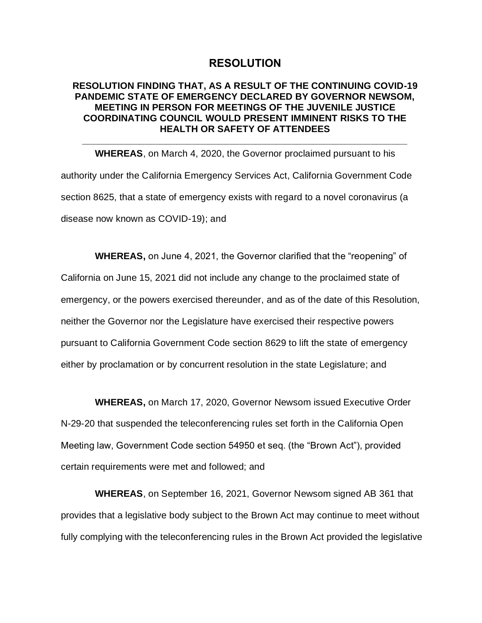## **RESOLUTION**

## **RESOLUTION FINDING THAT, AS A RESULT OF THE CONTINUING COVID-19 PANDEMIC STATE OF EMERGENCY DECLARED BY GOVERNOR NEWSOM, MEETING IN PERSON FOR MEETINGS OF THE JUVENILE JUSTICE COORDINATING COUNCIL WOULD PRESENT IMMINENT RISKS TO THE HEALTH OR SAFETY OF ATTENDEES**

**\_\_\_\_\_\_\_\_\_\_\_\_\_\_\_\_\_\_\_\_\_\_\_\_\_\_\_\_\_\_\_\_\_\_\_\_\_\_\_\_\_\_\_\_\_\_\_\_\_\_\_\_\_\_\_\_\_\_\_\_\_\_**

**WHEREAS**, on March 4, 2020, the Governor proclaimed pursuant to his authority under the California Emergency Services Act, California Government Code section 8625, that a state of emergency exists with regard to a novel coronavirus (a disease now known as COVID-19); and

**WHEREAS,** on June 4, 2021, the Governor clarified that the "reopening" of California on June 15, 2021 did not include any change to the proclaimed state of emergency, or the powers exercised thereunder, and as of the date of this Resolution, neither the Governor nor the Legislature have exercised their respective powers pursuant to California Government Code section 8629 to lift the state of emergency either by proclamation or by concurrent resolution in the state Legislature; and

**WHEREAS,** on March 17, 2020, Governor Newsom issued Executive Order N-29-20 that suspended the teleconferencing rules set forth in the California Open Meeting law, Government Code section 54950 et seq. (the "Brown Act"), provided certain requirements were met and followed; and

**WHEREAS**, on September 16, 2021, Governor Newsom signed AB 361 that provides that a legislative body subject to the Brown Act may continue to meet without fully complying with the teleconferencing rules in the Brown Act provided the legislative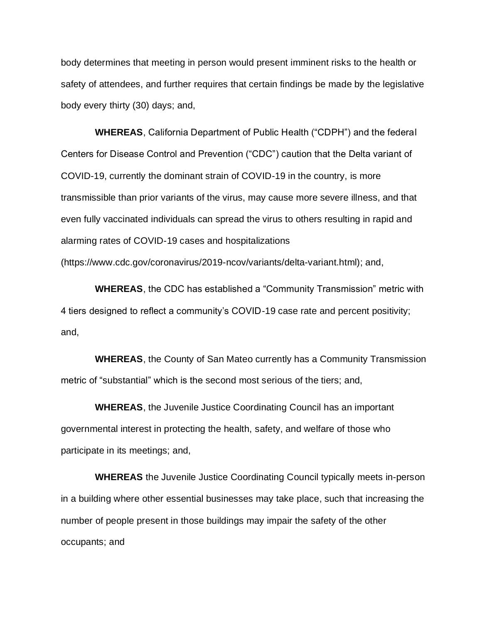body determines that meeting in person would present imminent risks to the health or safety of attendees, and further requires that certain findings be made by the legislative body every thirty (30) days; and,

**WHEREAS**, California Department of Public Health ("CDPH") and the federal Centers for Disease Control and Prevention ("CDC") caution that the Delta variant of COVID-19, currently the dominant strain of COVID-19 in the country, is more transmissible than prior variants of the virus, may cause more severe illness, and that even fully vaccinated individuals can spread the virus to others resulting in rapid and alarming rates of COVID-19 cases and hospitalizations (https://www.cdc.gov/coronavirus/2019-ncov/variants/delta-variant.html); and,

**WHEREAS**, the CDC has established a "Community Transmission" metric with 4 tiers designed to reflect a community's COVID-19 case rate and percent positivity; and,

**WHEREAS**, the County of San Mateo currently has a Community Transmission metric of "substantial" which is the second most serious of the tiers; and,

**WHEREAS**, the Juvenile Justice Coordinating Council has an important governmental interest in protecting the health, safety, and welfare of those who participate in its meetings; and,

**WHEREAS** the Juvenile Justice Coordinating Council typically meets in-person in a building where other essential businesses may take place, such that increasing the number of people present in those buildings may impair the safety of the other occupants; and